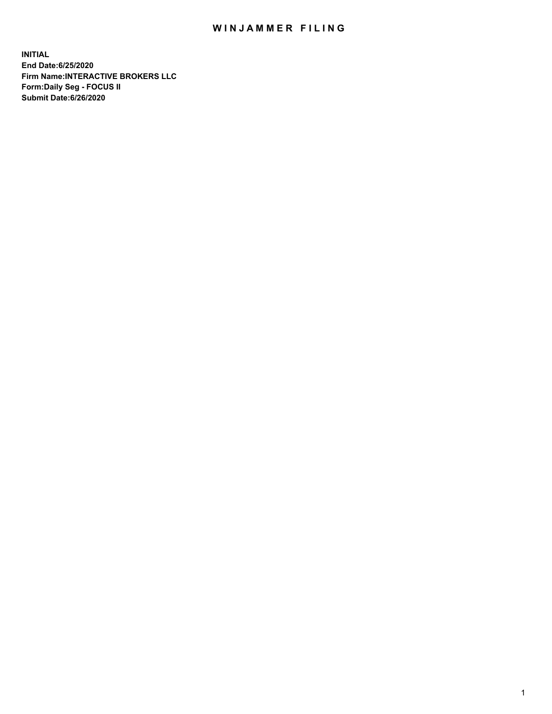## WIN JAMMER FILING

**INITIAL End Date:6/25/2020 Firm Name:INTERACTIVE BROKERS LLC Form:Daily Seg - FOCUS II Submit Date:6/26/2020**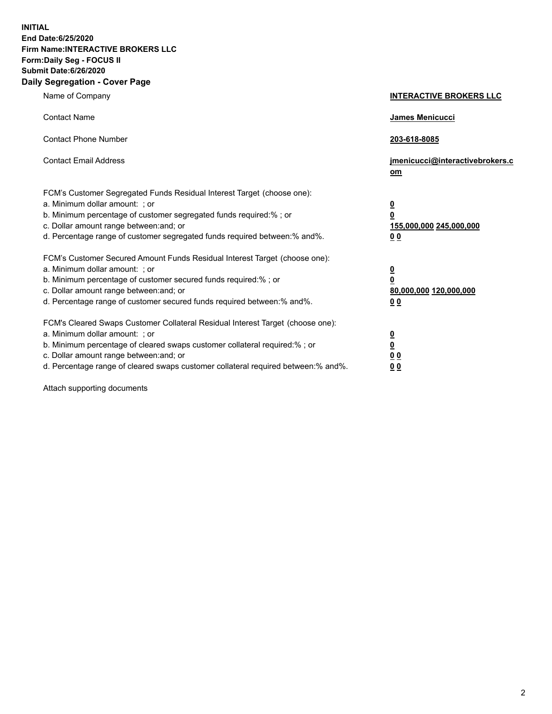**INITIAL End Date:6/25/2020 Firm Name:INTERACTIVE BROKERS LLC Form:Daily Seg - FOCUS II Submit Date:6/26/2020 Daily Segregation - Cover Page**

| Name of Company                                                                                                                                                                                                                                                                                                                | <b>INTERACTIVE BROKERS LLC</b>                                                   |
|--------------------------------------------------------------------------------------------------------------------------------------------------------------------------------------------------------------------------------------------------------------------------------------------------------------------------------|----------------------------------------------------------------------------------|
| <b>Contact Name</b>                                                                                                                                                                                                                                                                                                            | James Menicucci                                                                  |
| <b>Contact Phone Number</b>                                                                                                                                                                                                                                                                                                    | 203-618-8085                                                                     |
| <b>Contact Email Address</b>                                                                                                                                                                                                                                                                                                   | jmenicucci@interactivebrokers.c<br>om                                            |
| FCM's Customer Segregated Funds Residual Interest Target (choose one):<br>a. Minimum dollar amount: ; or<br>b. Minimum percentage of customer segregated funds required:% ; or<br>c. Dollar amount range between: and; or<br>d. Percentage range of customer segregated funds required between:% and%.                         | <u>0</u><br>$\overline{\mathbf{0}}$<br>155,000,000 245,000,000<br>0 <sub>0</sub> |
| FCM's Customer Secured Amount Funds Residual Interest Target (choose one):<br>a. Minimum dollar amount: ; or<br>b. Minimum percentage of customer secured funds required:% ; or<br>c. Dollar amount range between: and; or<br>d. Percentage range of customer secured funds required between:% and%.                           | <u>0</u><br>$\overline{\mathbf{0}}$<br>80,000,000 120,000,000<br>0 <sub>0</sub>  |
| FCM's Cleared Swaps Customer Collateral Residual Interest Target (choose one):<br>a. Minimum dollar amount: ; or<br>b. Minimum percentage of cleared swaps customer collateral required:% ; or<br>c. Dollar amount range between: and; or<br>d. Percentage range of cleared swaps customer collateral required between:% and%. | <u>0</u><br>$\underline{\mathbf{0}}$<br>0 <sub>0</sub><br>0 <sub>0</sub>         |

Attach supporting documents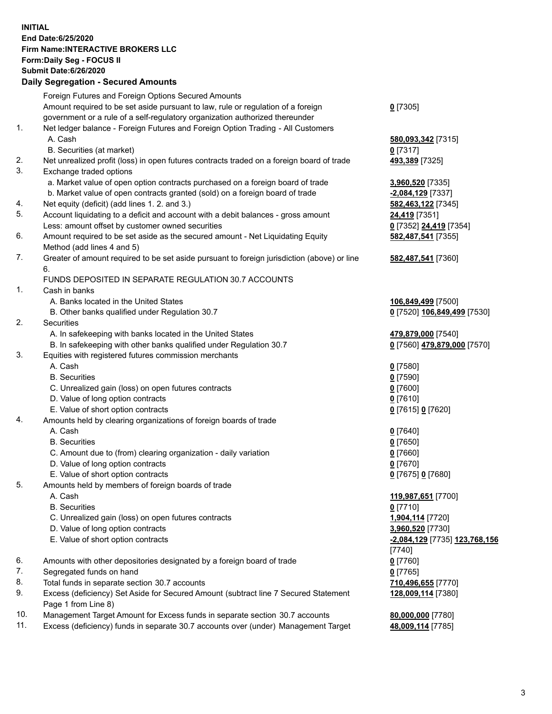**INITIAL End Date:6/25/2020 Firm Name:INTERACTIVE BROKERS LLC Form:Daily Seg - FOCUS II Submit Date:6/26/2020 Daily Segregation - Secured Amounts**

|     | Daily Segregation - Secureu Amounts                                                         |                               |
|-----|---------------------------------------------------------------------------------------------|-------------------------------|
|     | Foreign Futures and Foreign Options Secured Amounts                                         |                               |
|     | Amount required to be set aside pursuant to law, rule or regulation of a foreign            | $0$ [7305]                    |
|     | government or a rule of a self-regulatory organization authorized thereunder                |                               |
| 1.  | Net ledger balance - Foreign Futures and Foreign Option Trading - All Customers             |                               |
|     | A. Cash                                                                                     | 580,093,342 [7315]            |
|     | B. Securities (at market)                                                                   | $0$ [7317]                    |
| 2.  | Net unrealized profit (loss) in open futures contracts traded on a foreign board of trade   | 493,389 [7325]                |
| 3.  | Exchange traded options                                                                     |                               |
|     | a. Market value of open option contracts purchased on a foreign board of trade              | 3,960,520 [7335]              |
|     | b. Market value of open contracts granted (sold) on a foreign board of trade                | -2,084,129 [7337]             |
| 4.  | Net equity (deficit) (add lines 1. 2. and 3.)                                               | 582,463,122 [7345]            |
| 5.  | Account liquidating to a deficit and account with a debit balances - gross amount           | 24,419 [7351]                 |
|     | Less: amount offset by customer owned securities                                            | 0 [7352] 24,419 [7354]        |
| 6.  | Amount required to be set aside as the secured amount - Net Liquidating Equity              | 582,487,541 [7355]            |
|     | Method (add lines 4 and 5)                                                                  |                               |
| 7.  | Greater of amount required to be set aside pursuant to foreign jurisdiction (above) or line | 582,487,541 [7360]            |
|     | 6.                                                                                          |                               |
|     | FUNDS DEPOSITED IN SEPARATE REGULATION 30.7 ACCOUNTS                                        |                               |
| 1.  | Cash in banks                                                                               |                               |
|     | A. Banks located in the United States                                                       | 106,849,499 [7500]            |
|     | B. Other banks qualified under Regulation 30.7                                              | 0 [7520] 106,849,499 [7530]   |
| 2.  | <b>Securities</b>                                                                           |                               |
|     | A. In safekeeping with banks located in the United States                                   | 479,879,000 [7540]            |
|     | B. In safekeeping with other banks qualified under Regulation 30.7                          | 0 [7560] 479,879,000 [7570]   |
| 3.  | Equities with registered futures commission merchants                                       |                               |
|     | A. Cash                                                                                     | $0$ [7580]                    |
|     | <b>B.</b> Securities                                                                        | $0$ [7590]                    |
|     | C. Unrealized gain (loss) on open futures contracts                                         | $0$ [7600]                    |
|     | D. Value of long option contracts                                                           | $0$ [7610]                    |
|     | E. Value of short option contracts                                                          | 0 [7615] 0 [7620]             |
| 4.  | Amounts held by clearing organizations of foreign boards of trade                           |                               |
|     | A. Cash                                                                                     | $0$ [7640]                    |
|     | <b>B.</b> Securities                                                                        | $0$ [7650]                    |
|     | C. Amount due to (from) clearing organization - daily variation                             | $0$ [7660]                    |
|     | D. Value of long option contracts                                                           | $0$ [7670]                    |
|     | E. Value of short option contracts                                                          | 0 [7675] 0 [7680]             |
| 5.  | Amounts held by members of foreign boards of trade                                          |                               |
|     | A. Cash                                                                                     | 119,987,651 [7700]            |
|     | <b>B.</b> Securities                                                                        | $0$ [7710]                    |
|     | C. Unrealized gain (loss) on open futures contracts                                         | 1,904,114 [7720]              |
|     | D. Value of long option contracts                                                           | 3,960,520 [7730]              |
|     | E. Value of short option contracts                                                          | -2,084,129 [7735] 123,768,156 |
|     |                                                                                             | $[7740]$                      |
| 6.  | Amounts with other depositories designated by a foreign board of trade                      | $0$ [7760]                    |
| 7.  | Segregated funds on hand                                                                    | $0$ [7765]                    |
| 8.  | Total funds in separate section 30.7 accounts                                               | 710,496,655 [7770]            |
| 9.  | Excess (deficiency) Set Aside for Secured Amount (subtract line 7 Secured Statement         | 128,009,114 [7380]            |
|     | Page 1 from Line 8)                                                                         |                               |
| 10. | Management Target Amount for Excess funds in separate section 30.7 accounts                 | 80,000,000 [7780]             |
| 11. | Excess (deficiency) funds in separate 30.7 accounts over (under) Management Target          | 48,009,114 [7785]             |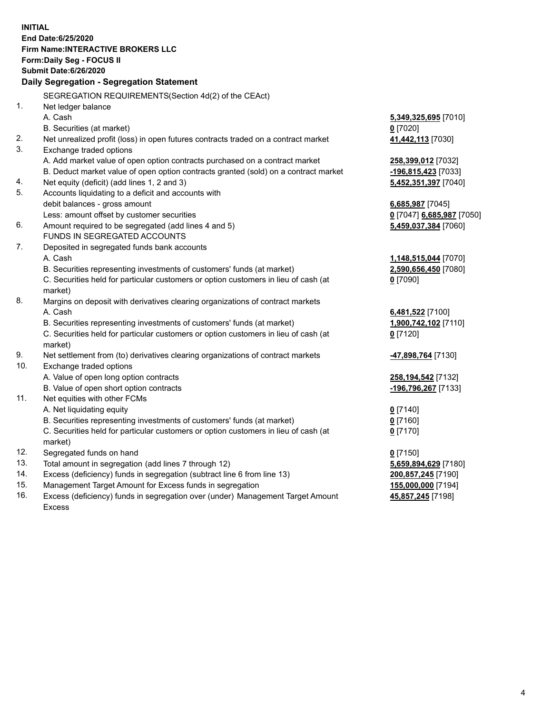**INITIAL End Date:6/25/2020 Firm Name:INTERACTIVE BROKERS LLC Form:Daily Seg - FOCUS II Submit Date:6/26/2020 Daily Segregation - Segregation Statement** SEGREGATION REQUIREMENTS(Section 4d(2) of the CEAct) 1. Net ledger balance A. Cash **5,349,325,695** [7010] B. Securities (at market) **0** [7020] 2. Net unrealized profit (loss) in open futures contracts traded on a contract market **41,442,113** [7030] 3. Exchange traded options A. Add market value of open option contracts purchased on a contract market **258,399,012** [7032] B. Deduct market value of open option contracts granted (sold) on a contract market **-196,815,423** [7033] 4. Net equity (deficit) (add lines 1, 2 and 3) **5,452,351,397** [7040] 5. Accounts liquidating to a deficit and accounts with debit balances - gross amount **6,685,987** [7045] Less: amount offset by customer securities **0** [7047] **6,685,987** [7050] 6. Amount required to be segregated (add lines 4 and 5) **5,459,037,384** [7060] FUNDS IN SEGREGATED ACCOUNTS 7. Deposited in segregated funds bank accounts A. Cash **1,148,515,044** [7070] B. Securities representing investments of customers' funds (at market) **2,590,656,450** [7080] C. Securities held for particular customers or option customers in lieu of cash (at market) **0** [7090] 8. Margins on deposit with derivatives clearing organizations of contract markets A. Cash **6,481,522** [7100] B. Securities representing investments of customers' funds (at market) **1,900,742,102** [7110] C. Securities held for particular customers or option customers in lieu of cash (at market) **0** [7120] 9. Net settlement from (to) derivatives clearing organizations of contract markets **-47,898,764** [7130] 10. Exchange traded options A. Value of open long option contracts **258,194,542** [7132] B. Value of open short option contracts **-196,796,267** [7133] 11. Net equities with other FCMs A. Net liquidating equity **0** [7140] B. Securities representing investments of customers' funds (at market) **0** [7160] C. Securities held for particular customers or option customers in lieu of cash (at market) **0** [7170] 12. Segregated funds on hand **0** [7150] 13. Total amount in segregation (add lines 7 through 12) **5,659,894,629** [7180] 14. Excess (deficiency) funds in segregation (subtract line 6 from line 13) **200,857,245** [7190] 15. Management Target Amount for Excess funds in segregation **155,000,000** [7194] 16. Excess (deficiency) funds in segregation over (under) Management Target Amount **45,857,245** [7198]

Excess